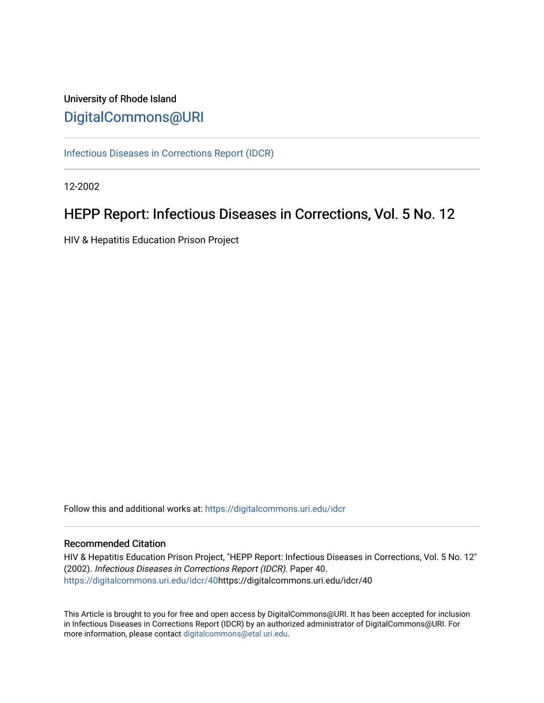# University of Rhode Island [DigitalCommons@URI](https://digitalcommons.uri.edu/)

[Infectious Diseases in Corrections Report \(IDCR\)](https://digitalcommons.uri.edu/idcr)

12-2002

# HEPP Report: Infectious Diseases in Corrections, Vol. 5 No. 12

HIV & Hepatitis Education Prison Project

Follow this and additional works at: [https://digitalcommons.uri.edu/idcr](https://digitalcommons.uri.edu/idcr?utm_source=digitalcommons.uri.edu%2Fidcr%2F40&utm_medium=PDF&utm_campaign=PDFCoverPages)

### Recommended Citation

HIV & Hepatitis Education Prison Project, "HEPP Report: Infectious Diseases in Corrections, Vol. 5 No. 12" (2002). Infectious Diseases in Corrections Report (IDCR). Paper 40. [https://digitalcommons.uri.edu/idcr/40h](https://digitalcommons.uri.edu/idcr/40?utm_source=digitalcommons.uri.edu%2Fidcr%2F40&utm_medium=PDF&utm_campaign=PDFCoverPages)ttps://digitalcommons.uri.edu/idcr/40

This Article is brought to you for free and open access by DigitalCommons@URI. It has been accepted for inclusion in Infectious Diseases in Corrections Report (IDCR) by an authorized administrator of DigitalCommons@URI. For more information, please contact [digitalcommons@etal.uri.edu.](mailto:digitalcommons@etal.uri.edu)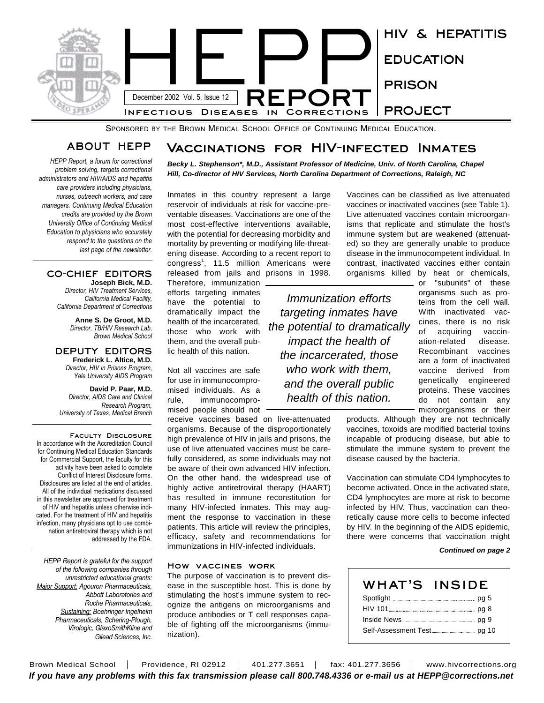

SPONSORED BY THE BROWN MEDICAL SCHOOL OFFICE OF CONTINUING MEDICAL EDUCATION.

## **ABOUT HEPP**

*HEPP Report, a forum for correctional problem solving, targets correctional administrators and HIV/AIDS and hepatitis care providers including physicians, nurses, outreach workers, and case managers. Continuing Medical Education credits are provided by the Brown University Office of Continuing Medical Education to physicians who accurately respond to the questions on the last page of the newsletter.* 

#### **CO-CHIEF EDITORS Joseph Bick, M.D.**

*Director, HIV Treatment Services, California Medical Facility, California Department of Corrections*

> **Anne S. De Groot, M.D.** *Director, TB/HIV Research Lab, Brown Medical School*

#### **DEPUTY EDITORS Frederick L. Altice, M.D.** *Director, HIV in Prisons Program, Yale University AIDS Program*

**David P. Paar, M.D.** *Director, AIDS Care and Clinical Research Program, University of Texas, Medical Branch*

**Faculty Disclosure** In accordance with the Accreditation Council for Continuing Medical Education Standards for Commercial Support, the faculty for this activity have been asked to complete Conflict of Interest Disclosure forms. Disclosures are listed at the end of articles. All of the individual medications discussed in this newsletter are approved for treatment of HIV and hepatitis unless otherwise indicated. For the treatment of HIV and hepatitis infection, many physicians opt to use combination antiretroviral therapy which is not addressed by the FDA.

*HEPP Report is grateful for the support of the following companies through unrestricted educational grants: Major Support: Agouron Pharmaceuticals, Abbott Laboratories and Roche Pharmaceuticals, Sustaining: Boehringer Ingelheim Pharmaceuticals, Schering-Plough, Virologic, GlaxoSmithKline and Gilead Sciences, Inc.*

# **Vaccinations for HIV-infected Inmates**

*Becky L. Stephenson\*, M.D., Assistant Professor of Medicine, Univ. of North Carolina, Chapel Hill, Co-director of HIV Services, North Carolina Department of Corrections, Raleigh, NC*

Inmates in this country represent a large reservoir of individuals at risk for vaccine-preventable diseases. Vaccinations are one of the most cost-effective interventions available, with the potential for decreasing morbidity and mortality by preventing or modifying life-threatening disease. According to a recent report to congress 1 , 11.5 million Americans were released from jails and prisons in 1998.

Therefore, immunization efforts targeting inmates have the potential to dramatically impact the health of the incarcerated, those who work with them, and the overall public health of this nation.

Not all vaccines are safe for use in immunocompromised individuals. As a rule, immunocompromised people should not

receive vaccines based on live-attenuated organisms. Because of the disproportionately high prevalence of HIV in jails and prisons, the use of live attenuated vaccines must be carefully considered, as some individuals may not be aware of their own advanced HIV infection. On the other hand, the widespread use of highly active antiretroviral therapy (HAART) has resulted in immune reconstitution for many HIV-infected inmates. This may augment the response to vaccination in these patients. This article will review the principles, efficacy, safety and recommendations for immunizations in HIV-infected individuals.

#### **How vaccines work**

The purpose of vaccination is to prevent disease in the susceptible host. This is done by stimulating the host's immune system to recognize the antigens on microorganisms and produce antibodies or T cell responses capable of fighting off the microorganisms (immunization).

Vaccines can be classified as live attenuated vaccines or inactivated vaccines (see Table 1). Live attenuated vaccines contain microorganisms that replicate and stimulate the host's immune system but are weakened (attenuated) so they are generally unable to produce disease in the immunocompetent individual. In contrast, inactivated vaccines either contain organisms killed by heat or chemicals,

*Immunization efforts targeting inmates have the potential to dramatically impact the health of the incarcerated, those who work with them, and the overall public health of this nation.*

or "subunits" of these organisms such as proteins from the cell wall. With inactivated vaccines, there is no risk of acquiring vaccination-related disease. Recombinant vaccines are a form of inactivated vaccine derived from genetically engineered proteins. These vaccines do not contain any microorganisms or their

products. Although they are not technically vaccines, toxoids are modified bacterial toxins incapable of producing disease, but able to stimulate the immune system to prevent the disease caused by the bacteria.

Vaccination can stimulate CD4 lymphocytes to become activated. Once in the activated state, CD4 lymphocytes are more at risk to become infected by HIV. Thus, vaccination can theoretically cause more cells to become infected by HIV. In the beginning of the AIDS epidemic, there were concerns that vaccination might

#### *Continued on page 2*

| WHAT'S INSIDE |  |
|---------------|--|
|               |  |
|               |  |
|               |  |
|               |  |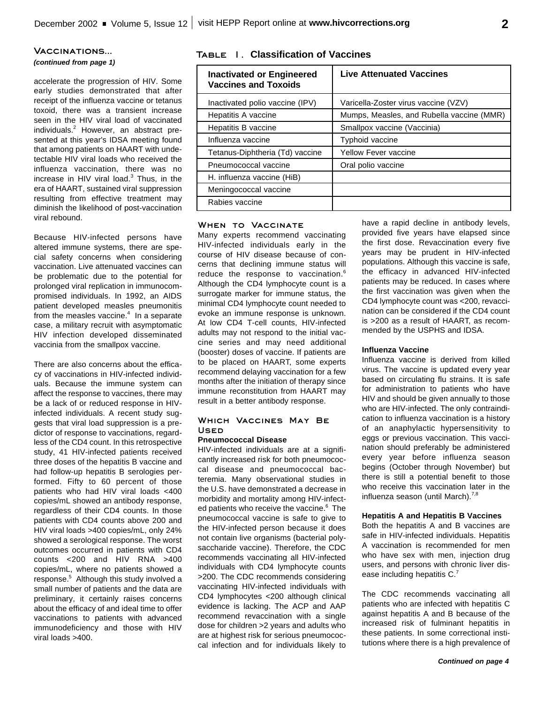## **Vaccinations...**

### *(continued from page 1)*

accelerate the progression of HIV. Some early studies demonstrated that after receipt of the influenza vaccine or tetanus toxoid, there was a transient increase seen in the HIV viral load of vaccinated individuals. <sup>2</sup> However, an abstract presented at this year's IDSA meeting found that among patients on HAART with undetectable HIV viral loads who received the influenza vaccination, there was no increase in HIV viral load. 3 Thus, in the era of HAART, sustained viral suppression resulting from effective treatment may diminish the likelihood of post-vaccination viral rebound.

Because HIV-infected persons have altered immune systems, there are special safety concerns when considering vaccination. Live attenuated vaccines can be problematic due to the potential for prolonged viral replication in immunocompromised individuals. In 1992, an AIDS patient developed measles pneumonitis from the measles vaccine.<sup>4</sup> In a separate case, a military recruit with asymptomatic HIV infection developed disseminated vaccinia from the smallpox vaccine.

There are also concerns about the efficacy of vaccinations in HIV-infected individuals. Because the immune system can affect the response to vaccines, there may be a lack of or reduced response in HIVinfected individuals. A recent study suggests that viral load suppression is a predictor of response to vaccinations, regardless of the CD4 count. In this retrospective study, 41 HIV-infected patients received three doses of the hepatitis B vaccine and had follow-up hepatitis B serologies performed. Fifty to 60 percent of those patients who had HIV viral loads <400 copies/mL showed an antibody response, regardless of their CD4 counts. In those patients with CD4 counts above 200 and HIV viral loads >400 copies/mL, only 24% showed a serological response. The worst outcomes occurred in patients with CD4 counts <200 and HIV RNA >400 copies/mL, where no patients showed a response. <sup>5</sup> Although this study involved a small number of patients and the data are preliminary, it certainly raises concerns about the efficacy of and ideal time to offer vaccinations to patients with advanced immunodeficiency and those with HIV viral loads >400.

### **Table 1. Classification of Vaccines**

| <b>Inactivated or Engineered</b><br><b>Vaccines and Toxoids</b> | <b>Live Attenuated Vaccines</b>           |  |
|-----------------------------------------------------------------|-------------------------------------------|--|
| Inactivated polio vaccine (IPV)                                 | Varicella-Zoster virus vaccine (VZV)      |  |
| Hepatitis A vaccine                                             | Mumps, Measles, and Rubella vaccine (MMR) |  |
| Hepatitis B vaccine                                             | Smallpox vaccine (Vaccinia)               |  |
| Influenza vaccine                                               | <b>Typhoid vaccine</b>                    |  |
| Tetanus-Diphtheria (Td) vaccine                                 | <b>Yellow Fever vaccine</b>               |  |
| Pneumococcal vaccine                                            | Oral polio vaccine                        |  |
| H. influenza vaccine (HiB)                                      |                                           |  |
| Meningococcal vaccine                                           |                                           |  |
| Rabies vaccine                                                  |                                           |  |

#### **When to Vaccinate**

Many experts recommend vaccinating HIV-infected individuals early in the course of HIV disease because of concerns that declining immune status will reduce the response to vaccination.<sup>6</sup> Although the CD4 lymphocyte count is a surrogate marker for immune status, the minimal CD4 lymphocyte count needed to evoke an immune response is unknown. At low CD4 T-cell counts, HIV-infected adults may not respond to the initial vaccine series and may need additional (booster) doses of vaccine. If patients are to be placed on HAART, some experts recommend delaying vaccination for a few months after the initiation of therapy since immune reconstitution from HAART may result in a better antibody response.

### **Which Vaccines May Be Used**

#### **Pneumococcal Disease**

HIV-infected individuals are at a significantly increased risk for both pneumococcal disease and pneumococcal bacteremia. Many observational studies in the U.S. have demonstrated a decrease in morbidity and mortality among HIV-infected patients who receive the vaccine. 6 The pneumococcal vaccine is safe to give to the HIV-infected person because it does not contain live organisms (bacterial polysaccharide vaccine). Therefore, the CDC recommends vaccinating all HIV-infected individuals with CD4 lymphocyte counts >200. The CDC recommends considering vaccinating HIV-infected individuals with CD4 lymphocytes <200 although clinical evidence is lacking. The ACP and AAP recommend revaccination with a single dose for children >2 years and adults who are at highest risk for serious pneumococcal infection and for individuals likely to have a rapid decline in antibody levels, provided five years have elapsed since the first dose. Revaccination every five years may be prudent in HIV-infected populations. Although this vaccine is safe, the efficacy in advanced HIV-infected patients may be reduced. In cases where the first vaccination was given when the CD4 lymphocyte count was <200, revaccination can be considered if the CD4 count is >200 as a result of HAART, as recommended by the USPHS and IDSA.

#### **Influenza Vaccine**

Influenza vaccine is derived from killed virus. The vaccine is updated every year based on circulating flu strains. It is safe for administration to patients who have HIV and should be given annually to those who are HIV-infected. The only contraindication to influenza vaccination is a history of an anaphylactic hypersensitivity to eggs or previous vaccination. This vaccination should preferably be administered every year before influenza season begins (October through November) but there is still a potential benefit to those who receive this vaccination later in the influenza season (until March).<sup>7,8</sup>

#### **Hepatitis A and Hepatitis B Vaccines**

Both the hepatitis A and B vaccines are safe in HIV-infected individuals. Hepatitis A vaccination is recommended for men who have sex with men, injection drug users, and persons with chronic liver disease including hepatitis  $C<sup>7</sup>$ 

The CDC recommends vaccinating all patients who are infected with hepatitis C against hepatitis A and B because of the increased risk of fulminant hepatitis in these patients. In some correctional institutions where there is a high prevalence of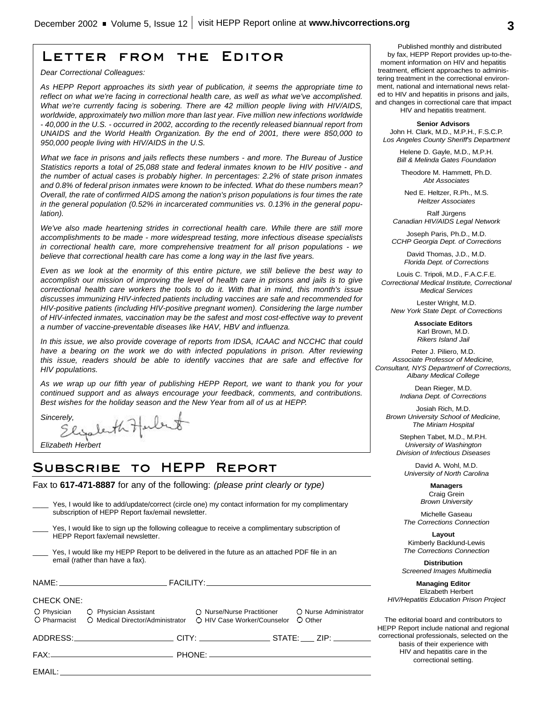# **Letter from the Editor**

*Dear Correctional Colleagues:*

*As HEPP Report approaches its sixth year of publication, it seems the appropriate time to reflect on what we're facing in correctional health care, as well as what we've accomplished. What we're currently facing is sobering. There are 42 million people living with HIV/AIDS, worldwide, approximately two million more than last year. Five million new infections worldwide - 40,000 in the U.S. - occurred in 2002, according to the recently released biannual report from UNAIDS and the World Health Organization. By the end of 2001, there were 850,000 to 950,000 people living with HIV/AIDS in the U.S.*

*What we face in prisons and jails reflects these numbers - and more. The Bureau of Justice Statistics reports a total of 25,088 state and federal inmates known to be HIV positive - and the number of actual cases is probably higher. In percentages: 2.2% of state prison inmates and 0.8% of federal prison inmates were known to be infected. What do these numbers mean? Overall, the rate of confirmed AIDS among the nation's prison populations is four times the rate in the general population (0.52% in incarcerated communities vs. 0.13% in the general population).* 

*We've also made heartening strides in correctional health care. While there are still more accomplishments to be made - more widespread testing, more infectious disease specialists in correctional health care, more comprehensive treatment for all prison populations - we believe that correctional health care has come a long way in the last five years.*

*Even as we look at the enormity of this entire picture, we still believe the best way to accomplish our mission of improving the level of health care in prisons and jails is to give correctional health care workers the tools to do it. With that in mind, this month's issue discusses immunizing HIV-infected patients including vaccines are safe and recommended for HIV-positive patients (including HIV-positive pregnant women). Considering the large number of HIV-infected inmates, vaccination may be the safest and most cost-effective way to prevent a number of vaccine-preventable diseases like HAV, HBV and influenza.*

*In this issue, we also provide coverage of reports from IDSA, ICAAC and NCCHC that could have a bearing on the work we do with infected populations in prison. After reviewing this issue, readers should be able to identify vaccines that are safe and effective for HIV populations.*

*As we wrap up our fifth year of publishing HEPP Report, we want to thank you for your continued support and as always encourage your feedback, comments, and contributions. Best wishes for the holiday season and the New Year from all of us at HEPP.*

*Sincerely,* 

*Elizabeth Herbert*

# **Subscribe to HEPP Report**

Fax to **617-471-8887** for any of the following: *(please print clearly or type)*

|                                                                                                                                      | i es, i wuuu iike tu auu/upuate/currect (circle one) iriy curitact iriiuririatiuri iur riiy curiipiirientary<br>subscription of HEPP Report fax/email newsletter.                                                              |                             |                                  |  |
|--------------------------------------------------------------------------------------------------------------------------------------|--------------------------------------------------------------------------------------------------------------------------------------------------------------------------------------------------------------------------------|-----------------------------|----------------------------------|--|
| Yes, I would like to sign up the following colleague to receive a complimentary subscription of<br>HEPP Report fax/email newsletter. |                                                                                                                                                                                                                                |                             |                                  |  |
| Yes, I would like my HEPP Report to be delivered in the future as an attached PDF file in an<br>email (rather than have a fax).      |                                                                                                                                                                                                                                |                             |                                  |  |
|                                                                                                                                      | $\mathsf{NAME:} \qquad \qquad \mathsf{FACILITY:}\qquad \qquad \blacksquare$                                                                                                                                                    |                             |                                  |  |
| <b>CHECK ONE:</b>                                                                                                                    |                                                                                                                                                                                                                                |                             |                                  |  |
|                                                                                                                                      | O Physician C Physician Assistant C Nurse/Nurse Practitioner                                                                                                                                                                   | ○ HIV Case Worker/Counselor | O Nurse Administrator<br>O Other |  |
|                                                                                                                                      | ADDRESS:___________________________CITY: ___________________STATE: ____ ZIP: _________                                                                                                                                         |                             |                                  |  |
|                                                                                                                                      |                                                                                                                                                                                                                                |                             |                                  |  |
|                                                                                                                                      | EMAIL: The contract of the contract of the contract of the contract of the contract of the contract of the contract of the contract of the contract of the contract of the contract of the contract of the contract of the con |                             |                                  |  |
|                                                                                                                                      |                                                                                                                                                                                                                                |                             |                                  |  |

\_\_\_\_ Yes, I would like to add/update/correct (circle one) my contact information for my complimentary

Published monthly and distributed by fax, HEPP Report provides up-to-themoment information on HIV and hepatitis treatment, efficient approaches to administering treatment in the correctional environment, national and international news related to HIV and hepatitis in prisons and jails, and changes in correctional care that impact

HIV and hepatitis treatment.

**Senior Advisors** John H. Clark, M.D., M.P.H., F.S.C.P. *Los Angeles County Sheriff's Department*

> Helene D. Gayle, M.D., M.P.H. *Bill & Melinda Gates Foundation*

Theodore M. Hammett, Ph.D. *Abt Associates*

Ned E. Heltzer, R.Ph., M.S. *Heltzer Associates*

Ralf Jürgens *Canadian HIV/AIDS Legal Network*

Joseph Paris, Ph.D., M.D. *CCHP Georgia Dept. of Corrections*

> David Thomas, J.D., M.D. *Florida Dept. of Corrections*

Louis C. Tripoli, M.D., F.A.C.F.E. *Correctional Medical Institute, Correctional Medical Services*

Lester Wright, M.D. *New York State Dept. of Corrections*

> **Associate Editors** Karl Brown, M.D. *Rikers Island Jail*

Peter J. Piliero, M.D. *Associate Professor of Medicine, Consultant, NYS Departmenf of Corrections, Albany Medical College*

> Dean Rieger, M.D. *Indiana Dept. of Corrections*

Josiah Rich, M.D. *Brown University School of Medicine, The Miriam Hospital*

Stephen Tabet, M.D., M.P.H. *University of Washington Division of Infectious Diseases*

David A. Wohl, M.D. *University of North Carolina*

> **Managers** Craig Grein *Brown University*

Michelle Gaseau *The Corrections Connection*

**Layout** Kimberly Backlund-Lewis *The Corrections Connection*

**Distribution** *Screened Images Multimedia*

**Managing Editor** Elizabeth Herbert *HIV/Hepatitis Education Prison Project*

The editorial board and contributors to HEPP Report include national and regional correctional professionals, selected on the basis of their experience with HIV and hepatitis care in the correctional setting.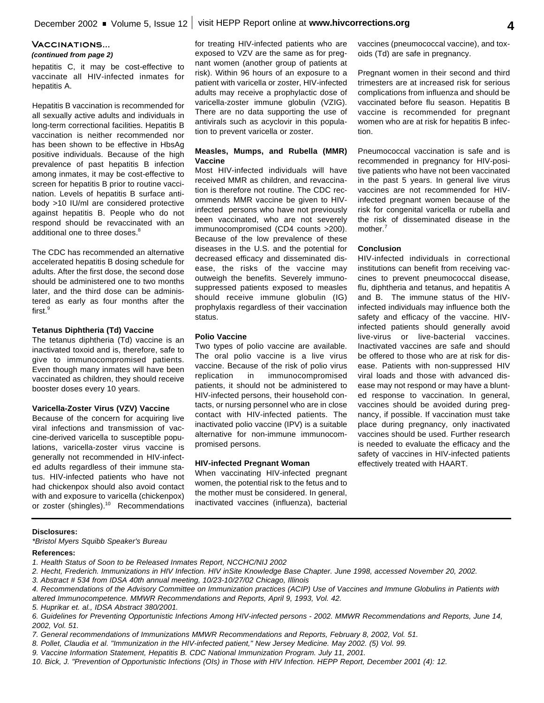#### **Vaccinations...** *(continued from page 2)*

hepatitis C, it may be cost-effective to vaccinate all HIV-infected inmates for hepatitis A.

Hepatitis B vaccination is recommended for all sexually active adults and individuals in long-term correctional facilities. Hepatitis B vaccination is neither recommended nor has been shown to be effective in HbsAg positive individuals. Because of the high prevalence of past hepatitis B infection among inmates, it may be cost-effective to screen for hepatitis B prior to routine vaccination. Levels of hepatitis B surface antibody >10 IU/ml are considered protective against hepatitis B. People who do not respond should be revaccinated with an additional one to three doses.<sup>8</sup>

The CDC has recommended an alternative accelerated hepatitis B dosing schedule for adults. After the first dose, the second dose should be administered one to two months later, and the third dose can be administered as early as four months after the first. 9

#### **Tetanus Diphtheria (Td) Vaccine**

The tetanus diphtheria (Td) vaccine is an inactivated toxoid and is, therefore, safe to give to immunocompromised patients. Even though many inmates will have been vaccinated as children, they should receive booster doses every 10 years.

#### **Varicella-Zoster Virus (VZV) Vaccine**

Because of the concern for acquiring live viral infections and transmission of vaccine-derived varicella to susceptible populations, varicella-zoster virus vaccine is generally not recommended in HIV-infected adults regardless of their immune status. HIV-infected patients who have not had chickenpox should also avoid contact with and exposure to varicella (chickenpox) or zoster (shingles).<sup>10</sup> Recommendations

for treating HIV-infected patients who are exposed to VZV are the same as for pregnant women (another group of patients at risk). Within 96 hours of an exposure to a patient with varicella or zoster, HIV-infected adults may receive a prophylactic dose of varicella-zoster immune globulin (VZIG). There are no data supporting the use of antivirals such as acyclovir in this population to prevent varicella or zoster.

#### **Measles, Mumps, and Rubella (MMR) Vaccine**

Most HIV-infected individuals will have received MMR as children, and revaccination is therefore not routine. The CDC recommends MMR vaccine be given to HIVinfected persons who have not previously been vaccinated, who are not severely immunocompromised (CD4 counts >200). Because of the low prevalence of these diseases in the U.S. and the potential for decreased efficacy and disseminated disease, the risks of the vaccine may outweigh the benefits. Severely immunosuppressed patients exposed to measles should receive immune globulin (IG) prophylaxis regardless of their vaccination status.

#### **Polio Vaccine**

Two types of polio vaccine are available. The oral polio vaccine is a live virus vaccine. Because of the risk of polio virus replication in immunocompromised patients, it should not be administered to HIV-infected persons, their household contacts, or nursing personnel who are in close contact with HIV-infected patients. The inactivated polio vaccine (IPV) is a suitable alternative for non-immune immunocompromised persons.

#### **HIV-infected Pregnant Woman**

When vaccinating HIV-infected pregnant women, the potential risk to the fetus and to the mother must be considered. In general, inactivated vaccines (influenza), bacterial

vaccines (pneumococcal vaccine), and toxoids (Td) are safe in pregnancy.

Pregnant women in their second and third trimesters are at increased risk for serious complications from influenza and should be vaccinated before flu season. Hepatitis B vaccine is recommended for pregnant women who are at risk for hepatitis B infection.

Pneumococcal vaccination is safe and is recommended in pregnancy for HIV-positive patients who have not been vaccinated in the past 5 years. In general live virus vaccines are not recommended for HIVinfected pregnant women because of the risk for congenital varicella or rubella and the risk of disseminated disease in the mother.<sup>7</sup>

#### **Conclusion**

HIV-infected individuals in correctional institutions can benefit from receiving vaccines to prevent pneumococcal disease, flu, diphtheria and tetanus, and hepatitis A and B. The immune status of the HIVinfected individuals may influence both the safety and efficacy of the vaccine. HIVinfected patients should generally avoid live-virus or live-bacterial vaccines. Inactivated vaccines are safe and should be offered to those who are at risk for disease. Patients with non-suppressed HIV viral loads and those with advanced disease may not respond or may have a blunted response to vaccination. In general, vaccines should be avoided during pregnancy, if possible. If vaccination must take place during pregnancy, only inactivated vaccines should be used. Further research is needed to evaluate the efficacy and the safety of vaccines in HIV-infected patients effectively treated with HAART.

#### **Disclosures:**

*\*Bristol Myers Squibb Speaker's Bureau*

#### **References:**

- *1. Health Status of Soon to be Released Inmates Report, NCCHC/NIJ 2002*
- *2. Hecht, Frederich. Immunizations in HIV Infection. HIV inSite Knowledge Base Chapter. June 1998, accessed November 20, 2002.*
- *3. Abstract # 534 from IDSA 40th annual meeting, 10/23-10/27/02 Chicago, Illinois*
- *4. Recommendations of the Advisory Committee on Immunization practices (ACIP) Use of Vaccines and Immune Globulins in Patients with altered Immunocompetence. MMWR Recommendations and Reports, April 9, 1993, Vol. 42.*
- *5. Huprikar et. al., IDSA Abstract 380/2001.*

- *7. General recommendations of Immunizations MMWR Recommendations and Reports, February 8, 2002, Vol. 51.*
- *8. Pollet, Claudia et al. "Immunization in the HIV-infected patient," New Jersey Medicine. May 2002. (5) Vol. 99.*
- *9. Vaccine Information Statement, Hepatitis B. CDC National Immunization Program. July 11, 2001.*
- *10. Bick, J. "Prevention of Opportunistic Infections (OIs) in Those with HIV Infection. HEPP Report, December 2001 (4): 12.*

*<sup>6.</sup> Guidelines for Preventing Opportunistic Infections Among HIV-infected persons - 2002. MMWR Recommendations and Reports, June 14, 2002, Vol. 51.*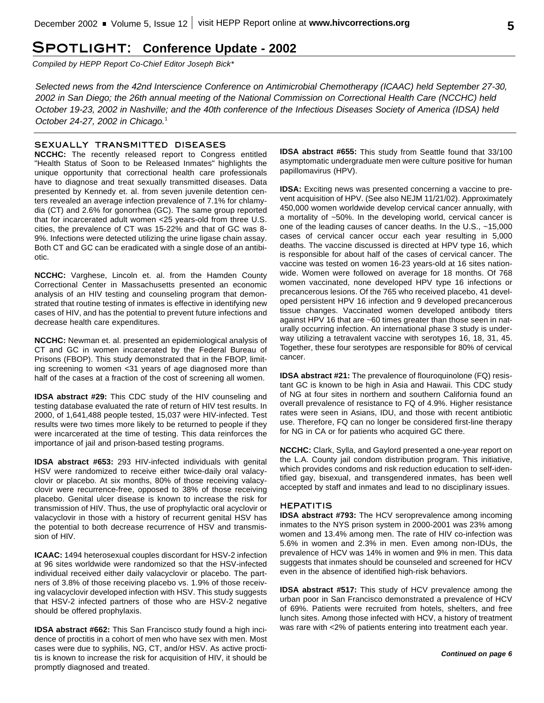# **Spotlight: Conference Update - 2002**

*Compiled by HEPP Report Co-Chief Editor Joseph Bick\**

*Selected news from the 42nd Interscience Conference on Antimicrobial Chemotherapy (ICAAC) held September 27-30, 2002 in San Diego; the 26th annual meeting of the National Commission on Correctional Health Care (NCCHC) held October 19-23, 2002 in Nashville; and the 40th conference of the Infectious Diseases Society of America (IDSA) held October 24-27, 2002 in Chicago.* 1

#### **SEXUALLY TRANSMITTED DISEASES**

**NCCHC:** The recently released report to Congress entitled "Health Status of Soon to be Released Inmates" highlights the unique opportunity that correctional health care professionals have to diagnose and treat sexually transmitted diseases. Data presented by Kennedy et. al. from seven juvenile detention centers revealed an average infection prevalence of 7.1% for chlamydia (CT) and 2.6% for gonorrhea (GC). The same group reported that for incarcerated adult women <25 years-old from three U.S. cities, the prevalence of CT was 15-22% and that of GC was 8- 9%. Infections were detected utilizing the urine ligase chain assay. Both CT and GC can be eradicated with a single dose of an antibiotic.

**NCCHC:** Varghese, Lincoln et. al. from the Hamden County Correctional Center in Massachusetts presented an economic analysis of an HIV testing and counseling program that demonstrated that routine testing of inmates is effective in identifying new cases of HIV, and has the potential to prevent future infections and decrease health care expenditures.

**NCCHC:** Newman et. al. presented an epidemiological analysis of CT and GC in women incarcerated by the Federal Bureau of Prisons (FBOP). This study demonstrated that in the FBOP, limiting screening to women <31 years of age diagnosed more than half of the cases at a fraction of the cost of screening all women.

**IDSA abstract #29:** This CDC study of the HIV counseling and testing database evaluated the rate of return of HIV test results. In 2000, of 1,641,488 people tested, 15,037 were HIV-infected. Test results were two times more likely to be returned to people if they were incarcerated at the time of testing. This data reinforces the importance of jail and prison-based testing programs.

**IDSA abstract #653:** 293 HIV-infected individuals with genital HSV were randomized to receive either twice-daily oral valacyclovir or placebo. At six months, 80% of those receiving valacyclovir were recurrence-free, opposed to 38% of those receiving placebo. Genital ulcer disease is known to increase the risk for transmission of HIV. Thus, the use of prophylactic oral acyclovir or valacyclovir in those with a history of recurrent genital HSV has the potential to both decrease recurrence of HSV and transmission of HIV.

**ICAAC:** 1494 heterosexual couples discordant for HSV-2 infection at 96 sites worldwide were randomized so that the HSV-infected individual received either daily valacyclovir or placebo. The partners of 3.8% of those receiving placebo vs. 1.9% of those receiving valacyclovir developed infection with HSV. This study suggests that HSV-2 infected partners of those who are HSV-2 negative should be offered prophylaxis.

**IDSA abstract #662:** This San Francisco study found a high incidence of proctitis in a cohort of men who have sex with men. Most cases were due to syphilis, NG, CT, and/or HSV. As active proctitis is known to increase the risk for acquisition of HIV, it should be promptly diagnosed and treated.

**IDSA abstract #655:** This study from Seattle found that 33/100 asymptomatic undergraduate men were culture positive for human papillomavirus (HPV).

**IDSA:** Exciting news was presented concerning a vaccine to prevent acquisition of HPV. (See also NEJM 11/21/02). Approximately 450,000 women worldwide develop cervical cancer annually, with a mortality of ~50%. In the developing world, cervical cancer is one of the leading causes of cancer deaths. In the U.S., ~15,000 cases of cervical cancer occur each year resulting in 5,000 deaths. The vaccine discussed is directed at HPV type 16, which is responsible for about half of the cases of cervical cancer. The vaccine was tested on women 16-23 years-old at 16 sites nationwide. Women were followed on average for 18 months. Of 768 women vaccinated, none developed HPV type 16 infections or precancerous lesions. Of the 765 who received placebo, 41 developed persistent HPV 16 infection and 9 developed precancerous tissue changes. Vaccinated women developed antibody titers against HPV 16 that are ~60 times greater than those seen in naturally occurring infection. An international phase 3 study is underway utilizing a tetravalent vaccine with serotypes 16, 18, 31, 45. Together, these four serotypes are responsible for 80% of cervical cancer.

**IDSA abstract #21:** The prevalence of flouroquinolone (FQ) resistant GC is known to be high in Asia and Hawaii. This CDC study of NG at four sites in northern and southern California found an overall prevalence of resistance to FQ of 4.9%. Higher resistance rates were seen in Asians, IDU, and those with recent antibiotic use. Therefore, FQ can no longer be considered first-line therapy for NG in CA or for patients who acquired GC there.

**NCCHC:** Clark, Sylla, and Gaylord presented a one-year report on the L.A. County jail condom distribution program. This initiative, which provides condoms and risk reduction education to self-identified gay, bisexual, and transgendered inmates, has been well accepted by staff and inmates and lead to no disciplinary issues.

#### **HEPATITIS**

**IDSA abstract #793:** The HCV seroprevalence among incoming inmates to the NYS prison system in 2000-2001 was 23% among women and 13.4% among men. The rate of HIV co-infection was 5.6% in women and 2.3% in men. Even among non-IDUs, the prevalence of HCV was 14% in women and 9% in men. This data suggests that inmates should be counseled and screened for HCV even in the absence of identified high-risk behaviors.

**IDSA abstract #517:** This study of HCV prevalence among the urban poor in San Francisco demonstrated a prevalence of HCV of 69%. Patients were recruited from hotels, shelters, and free lunch sites. Among those infected with HCV, a history of treatment was rare with <2% of patients entering into treatment each year.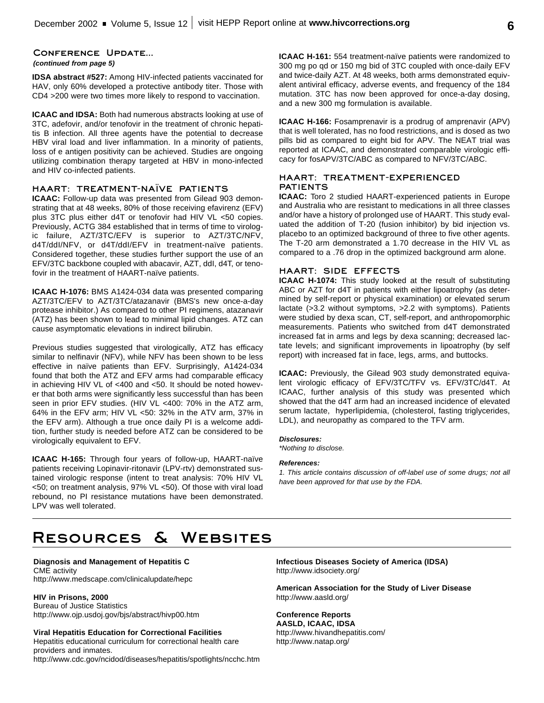#### **Conference Update...**

#### *(continued from page 5)*

**IDSA abstract #527:** Among HIV-infected patients vaccinated for HAV, only 60% developed a protective antibody titer. Those with CD4 >200 were two times more likely to respond to vaccination.

**ICAAC and IDSA:** Both had numerous abstracts looking at use of 3TC, adefovir, and/or tenofovir in the treatment of chronic hepatitis B infection. All three agents have the potential to decrease HBV viral load and liver inflammation. In a minority of patients, loss of e antigen positivity can be achieved. Studies are ongoing utilizing combination therapy targeted at HBV in mono-infected and HIV co-infected patients.

#### **HAART: TREATMENT-NAÏVE PATIENTS**

**ICAAC:** Follow-up data was presented from Gilead 903 demonstrating that at 48 weeks, 80% of those receiving efavirenz (EFV) plus 3TC plus either d4T or tenofovir had HIV VL <50 copies. Previously, ACTG 384 established that in terms of time to virologic failure, AZT/3TC/EFV is superior to AZT/3TC/NFV, d4T/ddI/NFV, or d4T/ddI/EFV in treatment-naïve patients. Considered together, these studies further support the use of an EFV/3TC backbone coupled with abacavir, AZT, ddI, d4T, or tenofovir in the treatment of HAART-naïve patients.

**ICAAC H-1076:** BMS A1424-034 data was presented comparing AZT/3TC/EFV to AZT/3TC/atazanavir (BMS's new once-a-day protease inhibitor.) As compared to other PI regimens, atazanavir (ATZ) has been shown to lead to minimal lipid changes. ATZ can cause asymptomatic elevations in indirect bilirubin.

Previous studies suggested that virologically, ATZ has efficacy similar to nelfinavir (NFV), while NFV has been shown to be less effective in naïve patients than EFV. Surprisingly, A1424-034 found that both the ATZ and EFV arms had comparable efficacy in achieving HIV VL of <400 and <50. It should be noted however that both arms were significantly less successful than has been seen in prior EFV studies. (HIV VL <400: 70% in the ATZ arm, 64% in the EFV arm; HIV VL <50: 32% in the ATV arm, 37% in the EFV arm). Although a true once daily PI is a welcome addition, further study is needed before ATZ can be considered to be virologically equivalent to EFV.

**ICAAC H-165:** Through four years of follow-up, HAART-naïve patients receiving Lopinavir-ritonavir (LPV-rtv) demonstrated sustained virologic response (intent to treat analysis: 70% HIV VL <50; on treatment analysis, 97% VL <50). Of those with viral load rebound, no PI resistance mutations have been demonstrated. LPV was well tolerated.

**ICAAC H-161:** 554 treatment-naïve patients were randomized to 300 mg po qd or 150 mg bid of 3TC coupled with once-daily EFV and twice-daily AZT. At 48 weeks, both arms demonstrated equivalent antiviral efficacy, adverse events, and frequency of the 184 mutation. 3TC has now been approved for once-a-day dosing, and a new 300 mg formulation is available.

**ICAAC H-166:** Fosamprenavir is a prodrug of amprenavir (APV) that is well tolerated, has no food restrictions, and is dosed as two pills bid as compared to eight bid for APV. The NEAT trial was reported at ICAAC, and demonstrated comparable virologic efficacy for fosAPV/3TC/ABC as compared to NFV/3TC/ABC.

#### **HAART: TREATMENT-EXPERIENCED PATIENTS**

**ICAAC:** Toro 2 studied HAART-experienced patients in Europe and Australia who are resistant to medications in all three classes and/or have a history of prolonged use of HAART. This study evaluated the addition of T-20 (fusion inhibitor) by bid injection vs. placebo to an optimized background of three to five other agents. The T-20 arm demonstrated a 1.70 decrease in the HIV VL as compared to a .76 drop in the optimized background arm alone.

### **HAART: SIDE EFFECTS**

**ICAAC H-1074:** This study looked at the result of substituting ABC or AZT for d4T in patients with either lipoatrophy (as determined by self-report or physical examination) or elevated serum lactate (>3.2 without symptoms, >2.2 with symptoms). Patients were studied by dexa scan, CT, self-report, and anthropomorphic measurements. Patients who switched from d4T demonstrated increased fat in arms and legs by dexa scanning; decreased lactate levels; and significant improvements in lipoatrophy (by self report) with increased fat in face, legs, arms, and buttocks.

**ICAAC:** Previously, the Gilead 903 study demonstrated equivalent virologic efficacy of EFV/3TC/TFV vs. EFV/3TC/d4T. At ICAAC, further analysis of this study was presented which showed that the d4T arm had an increased incidence of elevated serum lactate, hyperlipidemia, (cholesterol, fasting triglycerides, LDL), and neuropathy as compared to the TFV arm.

#### *Disclosures:*

*\*Nothing to disclose.*

#### *References:*

*1. This article contains discussion of off-label use of some drugs; not all have been approved for that use by the FDA.*

# **Resources & Websites**

**Diagnosis and Management of Hepatitis C** CME activity http://www.medscape.com/clinicalupdate/hepc

#### **HIV in Prisons, 2000**

Bureau of Justice Statistics http://www.ojp.usdoj.gov/bjs/abstract/hivp00.htm

#### **Viral Hepatitis Education for Correctional Facilities**

Hepatitis educational curriculum for correctional health care providers and inmates.

http://www.cdc.gov/ncidod/diseases/hepatitis/spotlights/ncchc.htm

**Infectious Diseases Society of America (IDSA)** http://www.idsociety.org/

**American Association for the Study of Liver Disease** http://www.aasld.org/

#### **Conference Reports AASLD, ICAAC, IDSA**

http://www.hivandhepatitis.com/ http://www.natap.org/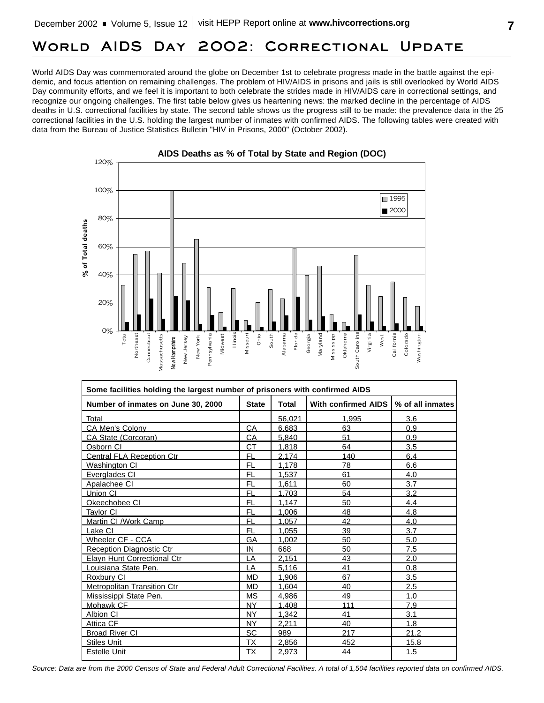# **World AIDS Day 2002: Correctional Update**

World AIDS Day was commemorated around the globe on December 1st to celebrate progress made in the battle against the epidemic, and focus attention on remaining challenges. The problem of HIV/AIDS in prisons and jails is still overlooked by World AIDS Day community efforts, and we feel it is important to both celebrate the strides made in HIV/AIDS care in correctional settings, and recognize our ongoing challenges. The first table below gives us heartening news: the marked decline in the percentage of AIDS deaths in U.S. correctional facilities by state. The second table shows us the progress still to be made: the prevalence data in the 25 correctional facilities in the U.S. holding the largest number of inmates with confirmed AIDS. The following tables were created with data from the Bureau of Justice Statistics Bulletin "HIV in Prisons, 2000" (October 2002).





| Some facilities holding the largest number of prisoners with confirmed AIDS |              |              |                     |                  |
|-----------------------------------------------------------------------------|--------------|--------------|---------------------|------------------|
| Number of inmates on June 30, 2000                                          | <b>State</b> | <b>Total</b> | With confirmed AIDS | % of all inmates |
| Total                                                                       |              | 56.021       | 1.995               | 3.6              |
| CA Men's Colony                                                             | CA           | 6,683        | 63                  | 0.9              |
| CA State (Corcoran)                                                         | CA           | 5.840        | 51                  | 0.9              |
| Osborn CI                                                                   | СT           | 1,818        | 64                  | 3.5              |
| Central FLA Reception Ctr                                                   | <b>FL</b>    | 2.174        | 140                 | 6.4              |
| Washington CI                                                               | FL.          | 1,178        | 78                  | 6.6              |
| Everglades CI                                                               | <b>FL</b>    | 1,537        | 61                  | 4.0              |
| Apalachee CI                                                                | <b>FL</b>    | 1,611        | 60                  | 3.7              |
| Union CI                                                                    | FL           | 1.703        | 54                  | 3.2              |
| Okeechobee CI                                                               | FL           | 1.147        | 50                  | 4.4              |
| <u>Taylor Cl</u>                                                            | FL.          | 1,006        | 48                  | 4.8              |
| Martin CI / Work Camp                                                       | FL           | 1,057        | 42                  | 4.0              |
| Lake CI                                                                     | <b>FL</b>    | 1.055        | 39                  | 3.7              |
| Wheeler CF - CCA                                                            | GA           | 1.002        | 50                  | 5.0              |
| Reception Diagnostic Ctr                                                    | IN           | 668          | 50                  | 7.5              |
| <b>Elayn Hunt Correctional Ctr</b>                                          | LA           | 2,151        | 43                  | 2.0              |
| ouisiana State Pen.                                                         | LA           | 5.116        | 41                  | 0.8              |
| Roxbury CI                                                                  | <b>MD</b>    | 1,906        | 67                  | 3.5              |
| <b>Metropolitan Transition Ctr</b>                                          | <b>MD</b>    | 1,604        | 40                  | 2.5              |
| Mississippi State Pen.                                                      | <b>MS</b>    | 4,986        | 49                  | 1.0              |
| Mohawk CF                                                                   | <b>NY</b>    | 1.408        | 111                 | 7.9              |
| Albion CI                                                                   | <b>NY</b>    | 1,342        | 41                  | 3.1              |
| Attica CF                                                                   | <b>NY</b>    | 2.211        | 40                  | 1.8              |
| <b>Broad River CI</b>                                                       | <b>SC</b>    | 989          | 217                 | 21.2             |
| Stiles Unit                                                                 | ΤX           | 2,856        | 452                 | 15.8             |
| Estelle Unit                                                                | ТX           | 2,973        | 44                  | 1.5              |

*Source: Data are from the 2000 Census of State and Federal Adult Correctional Facilities. A total of 1,504 facilities reported data on confirmed AIDS.*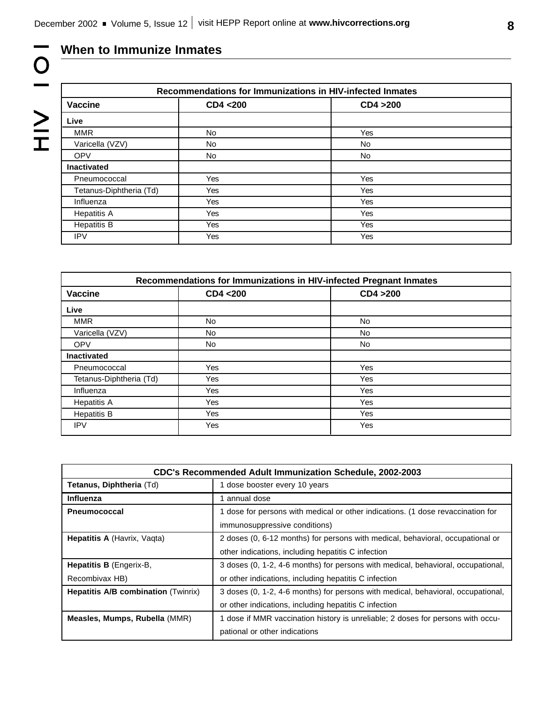# **When to Immunize Inmates**

10<br>1<br>2<br>1<br>2<br>H

| Recommendations for Immunizations in HIV-infected Inmates |     |           |  |
|-----------------------------------------------------------|-----|-----------|--|
| <b>Vaccine</b><br>CD4 <200<br>CD4 > 200                   |     |           |  |
| Live                                                      |     |           |  |
| <b>MMR</b>                                                | No. | Yes       |  |
| Varicella (VZV)                                           | No. | No        |  |
| <b>OPV</b>                                                | No  | <b>No</b> |  |
| <b>Inactivated</b>                                        |     |           |  |
| Pneumococcal                                              | Yes | Yes       |  |
| Tetanus-Diphtheria (Td)                                   | Yes | Yes       |  |
| Influenza                                                 | Yes | Yes       |  |
| <b>Hepatitis A</b>                                        | Yes | Yes       |  |
| <b>Hepatitis B</b>                                        | Yes | Yes       |  |
| <b>IPV</b>                                                | Yes | Yes       |  |

| Recommendations for Immunizations in HIV-infected Pregnant Inmates |           |           |  |
|--------------------------------------------------------------------|-----------|-----------|--|
| <b>Vaccine</b>                                                     | CD4 <200  | CD4 > 200 |  |
| Live                                                               |           |           |  |
| <b>MMR</b>                                                         | <b>No</b> | No        |  |
| Varicella (VZV)                                                    | No.       | <b>No</b> |  |
| <b>OPV</b>                                                         | No.       | No.       |  |
| <b>Inactivated</b>                                                 |           |           |  |
| Pneumococcal                                                       | Yes       | Yes       |  |
| Tetanus-Diphtheria (Td)                                            | Yes       | Yes       |  |
| Influenza                                                          | Yes       | Yes       |  |
| <b>Hepatitis A</b>                                                 | Yes       | Yes       |  |
| <b>Hepatitis B</b>                                                 | Yes       | Yes       |  |
| <b>IPV</b>                                                         | Yes       | Yes       |  |

| <b>CDC's Recommended Adult Immunization Schedule, 2002-2003</b> |                                                                                  |  |  |
|-----------------------------------------------------------------|----------------------------------------------------------------------------------|--|--|
| Tetanus, Diphtheria (Td)                                        | 1 dose booster every 10 years                                                    |  |  |
| <b>Influenza</b>                                                | 1 annual dose                                                                    |  |  |
| <b>Pneumococcal</b>                                             | 1 dose for persons with medical or other indications. (1 dose revaccination for  |  |  |
|                                                                 | immunosuppressive conditions)                                                    |  |  |
| <b>Hepatitis A (Havrix, Vagta)</b>                              | 2 doses (0, 6-12 months) for persons with medical, behavioral, occupational or   |  |  |
|                                                                 | other indications, including hepatitis C infection                               |  |  |
| Hepatitis B (Engerix-B,                                         | 3 doses (0, 1-2, 4-6 months) for persons with medical, behavioral, occupational, |  |  |
| Recombivax HB)                                                  | or other indications, including hepatitis C infection                            |  |  |
| <b>Hepatitis A/B combination (Twinrix)</b>                      | 3 doses (0, 1-2, 4-6 months) for persons with medical, behavioral, occupational, |  |  |
|                                                                 | or other indications, including hepatitis C infection                            |  |  |
| Measles, Mumps, Rubella (MMR)                                   | dose if MMR vaccination history is unreliable; 2 doses for persons with occu-    |  |  |
|                                                                 | pational or other indications                                                    |  |  |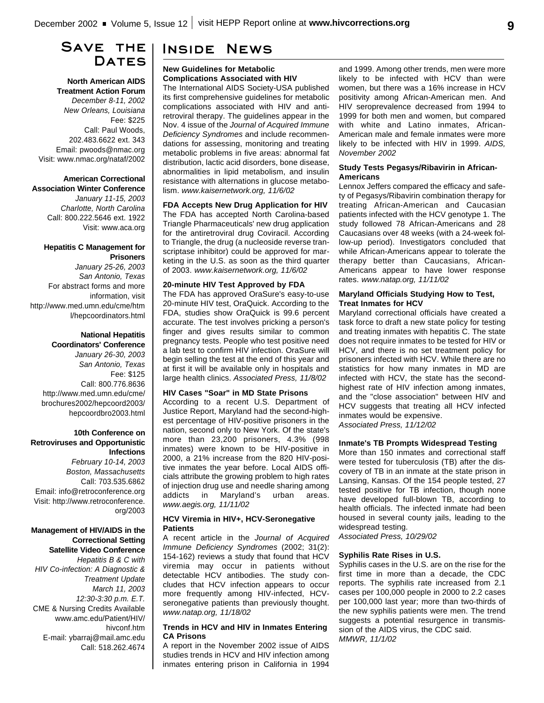## **Save the Dates**

**North American AIDS Treatment Action Forum** *December 8-11, 2002 New Orleans, Louisiana* Fee: \$225 Call: Paul Woods, 202.483.6622 ext. 343 Email: pwoods@nmac.org Visit: www.nmac.org/nataf/2002

### **American Correctional**

**Association Winter Conference** *January 11-15, 2003 Charlotte, North Carolina* Call: 800.222.5646 ext. 1922 Visit: www.aca.org

#### **Hepatitis C Management for Prisoners**

*January 25-26, 2003 San Antonio, Texas* For abstract forms and more information, visit http://www.med.umn.edu/cme/htm l/hepcoordinators.html

#### **National Hepatitis Coordinators' Conference**

*January 26-30, 2003 San Antonio, Texas* Fee: \$125 Call: 800.776.8636 http://www.med.umn.edu/cme/ brochures2002/hepcoord2003/ hepcoordbro2003.html

#### **10th Conference on Retroviruses and Opportunistic Infections**

*February 10-14, 2003 Boston, Massachusetts* Call: 703.535.6862 Email: info@retroconference.org Visit: http://www.retroconference. org/2003

#### **Management of HIV/AIDS in the Correctional Setting Satellite Video Conference**

*Hepatitis B & C with HIV Co-infection: A Diagnostic & Treatment Update March 11, 2003 12:30-3:30 p.m. E.T.* CME & Nursing Credits Available www.amc.edu/Patient/HIV/ hivconf.htm E-mail: ybarraj@mail.amc.edu Call: 518.262.4674

# **Inside News**

#### **New Guidelines for Metabolic Complications Associated with HIV**

The International AIDS Society-USA published its first comprehensive guidelines for metabolic complications associated with HIV and antiretroviral therapy. The guidelines appear in the Nov. 4 issue of the *Journal of Acquired Immune Deficiency Syndromes* and include recommendations for assessing, monitoring and treating metabolic problems in five areas: abnormal fat distribution, lactic acid disorders, bone disease, abnormalities in lipid metabolism, and insulin resistance with alternations in glucose metabolism. *www.kaisernetwork.org, 11/6/02*

### **FDA Accepts New Drug Application for HIV** The FDA has accepted North Carolina-based Triangle Pharmaceuticals' new drug application

for the antiretroviral drug Coviracil. According to Triangle, the drug (a nucleoside reverse transcriptase inhibitor) could be approved for marketing in the U.S. as soon as the third quarter of 2003. *www.kaisernetwork.org, 11/6/02*

#### **20-minute HIV Test Approved by FDA**

The FDA has approved OraSure's easy-to-use 20-minute HIV test, OraQuick. According to the FDA, studies show OraQuick is 99.6 percent accurate. The test involves pricking a person's finger and gives results similar to common pregnancy tests. People who test positive need a lab test to confirm HIV infection. OraSure will begin selling the test at the end of this year and at first it will be available only in hospitals and large health clinics. *Associated Press, 11/8/02*

#### **HIV Cases "Soar" in MD State Prisons**

According to a recent U.S. Department of Justice Report, Maryland had the second-highest percentage of HIV-positive prisoners in the nation, second only to New York. Of the state's more than 23,200 prisoners, 4.3% (998 inmates) were known to be HIV-positive in 2000, a 21% increase from the 820 HIV-positive inmates the year before. Local AIDS officials attribute the growing problem to high rates of injection drug use and needle sharing among addicts in Maryland's urban areas. *www.aegis.org, 11/11/02*

#### **HCV Viremia in HIV+, HCV-Seronegative Patients**

A recent article in the *Journal of Acquired Immune Deficiency Syndromes* (2002; 31(2): 154-162) reviews a study that found that HCV viremia may occur in patients without detectable HCV antibodies. The study concludes that HCV infection appears to occur more frequently among HIV-infected, HCVseronegative patients than previously thought. *www.natap.org, 11/18/02*

#### **Trends in HCV and HIV in Inmates Entering CA Prisons**

A report in the November 2002 issue of AIDS studies trends in HCV and HIV infection among inmates entering prison in California in 1994

and 1999. Among other trends, men were more likely to be infected with HCV than were women, but there was a 16% increase in HCV positivity among African-American men. And HIV seroprevalence decreased from 1994 to 1999 for both men and women, but compared with white and Latino inmates, African-American male and female inmates were more likely to be infected with HIV in 1999. *AIDS, November 2002*

#### **Study Tests Pegasys/Ribavirin in African-Americans**

Lennox Jeffers compared the efficacy and safety of Pegasys/Ribavirin combination therapy for treating African-American and Caucasian patients infected with the HCV genotype 1. The study followed 78 African-Americans and 28 Caucasians over 48 weeks (with a 24-week follow-up period). Investigators concluded that while African-Americans appear to tolerate the therapy better than Caucasians, African-Americans appear to have lower response rates. *www.natap.org, 11/11/02*

#### **Maryland Officials Studying How to Test, Treat Inmates for HCV**

Maryland correctional officials have created a task force to draft a new state policy for testing and treating inmates with hepatitis C. The state does not require inmates to be tested for HIV or HCV, and there is no set treatment policy for prisoners infected with HCV. While there are no statistics for how many inmates in MD are infected with HCV, the state has the secondhighest rate of HIV infection among inmates, and the "close association" between HIV and HCV suggests that treating all HCV infected inmates would be expensive. *Associated Press, 11/12/02*

#### **Inmate's TB Prompts Widespread Testing**

More than 150 inmates and correctional staff were tested for tuberculosis (TB) after the discovery of TB in an inmate at the state prison in Lansing, Kansas. Of the 154 people tested, 27 tested positive for TB infection, though none have developed full-blown TB, according to health officials. The infected inmate had been housed in several county jails, leading to the widespread testing.

*Associated Press, 10/29/02*

#### **Syphilis Rate Rises in U.S.**

Syphilis cases in the U.S. are on the rise for the first time in more than a decade, the CDC reports. The syphilis rate increased from 2.1 cases per 100,000 people in 2000 to 2.2 cases per 100,000 last year; more than two-thirds of the new syphilis patients were men. The trend suggests a potential resurgence in transmission of the AIDS virus, the CDC said. *MMWR, 11/1/02*